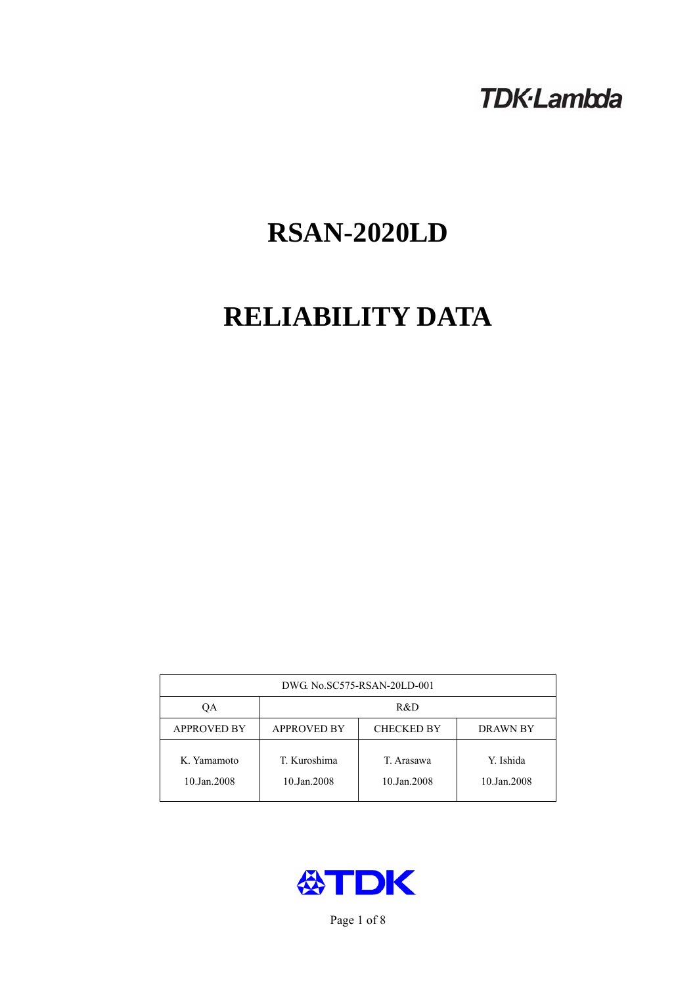## **TDK-Lambda**

# **RSAN-2020LD**

# **RELIABILITY DATA**

| DWG. No.SC575-RSAN-20LD-001 |                                                     |                           |                          |  |  |
|-----------------------------|-----------------------------------------------------|---------------------------|--------------------------|--|--|
| ОA                          | R&D                                                 |                           |                          |  |  |
| <b>APPROVED BY</b>          | <b>APPROVED BY</b><br><b>CHECKED BY</b><br>DRAWN BY |                           |                          |  |  |
| K. Yamamoto<br>10.Jan.2008  | T. Kuroshima<br>10.Jan.2008                         | T. Arasawa<br>10.Jan.2008 | Y. Ishida<br>10.Jan.2008 |  |  |



Page 1 of 8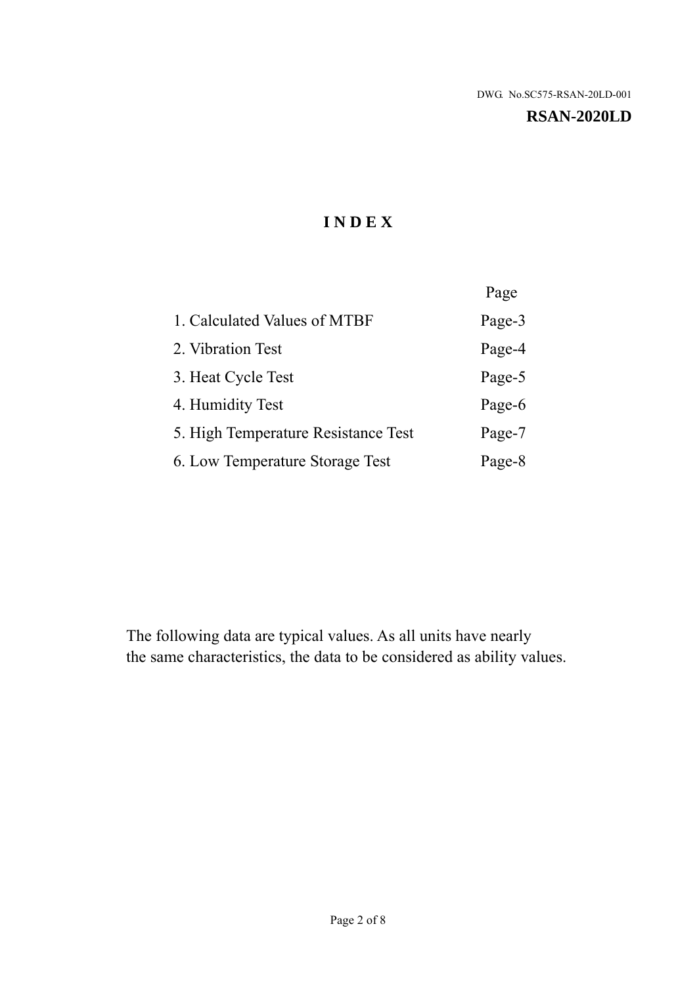#### **RSAN-2020LD**

## **I N D E X**

|                                     | Page   |
|-------------------------------------|--------|
| 1. Calculated Values of MTBF        | Page-3 |
| 2. Vibration Test                   | Page-4 |
| 3. Heat Cycle Test                  | Page-5 |
| 4. Humidity Test                    | Page-6 |
| 5. High Temperature Resistance Test | Page-7 |
| 6. Low Temperature Storage Test     | Page-8 |

The following data are typical values. As all units have nearly the same characteristics, the data to be considered as ability values.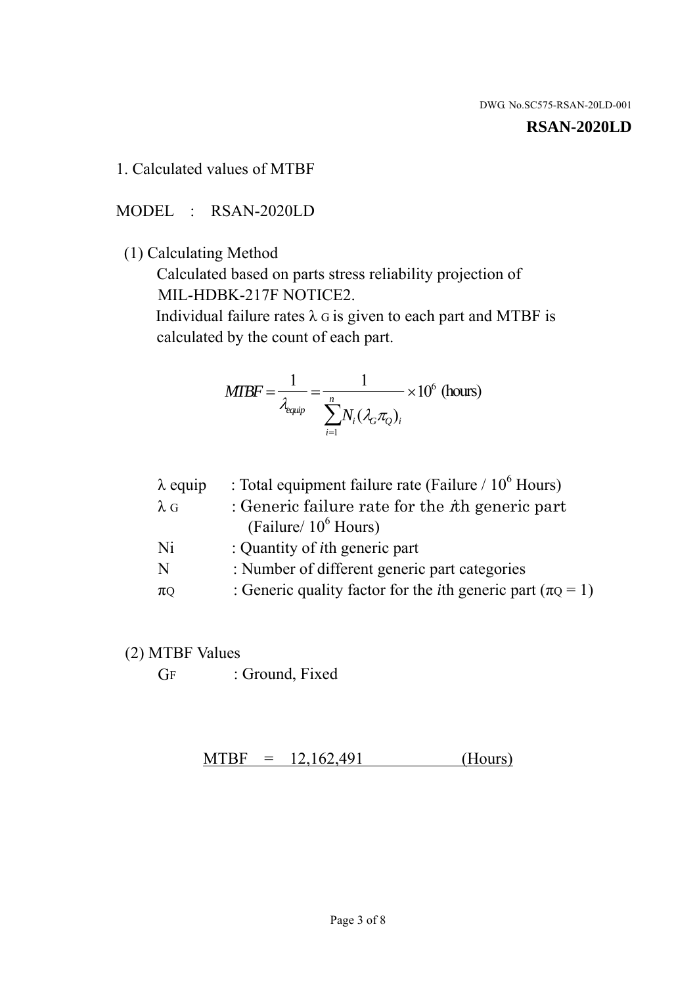#### **RSAN-2020LD**

1. Calculated values of MTBF

MODEL : RSAN-2020LD

(1) Calculating Method

 Calculated based on parts stress reliability projection of MIL-HDBK-217F NOTICE2.

Individual failure rates  $\lambda$  G is given to each part and MTBF is calculated by the count of each part.

$$
MTBF = \frac{1}{\lambda_{\text{equip}}} = \frac{1}{\sum_{i=1}^{n} N_i (\lambda_G \pi_Q)_i} \times 10^6 \text{ (hours)}
$$

| : Total equipment failure rate (Failure / $10^6$ Hours)                   |
|---------------------------------------------------------------------------|
| : Generic failure rate for the $\hbar$ generic part                       |
| (Failure/ $10^6$ Hours)                                                   |
| : Quantity of <i>i</i> th generic part                                    |
| : Number of different generic part categories                             |
| : Generic quality factor for the <i>i</i> th generic part ( $\pi Q = 1$ ) |
|                                                                           |

- (2) MTBF Values
	- GF : Ground, Fixed

 $MTBF = 12,162,491$  (Hours)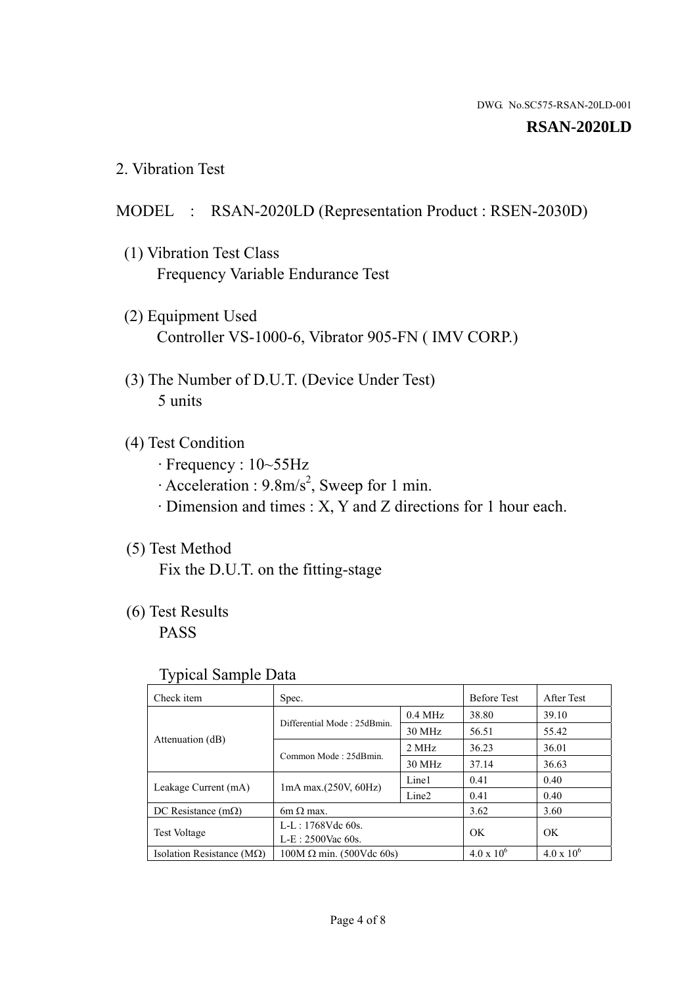#### **RSAN-2020LD**

2. Vibration Test

## MODEL : RSAN-2020LD (Representation Product : RSEN-2030D)

- (1) Vibration Test Class Frequency Variable Endurance Test
- (2) Equipment Used Controller VS-1000-6, Vibrator 905-FN ( IMV CORP.)
- (3) The Number of D.U.T. (Device Under Test) 5 units
- (4) Test Condition
	- · Frequency : 10~55Hz
	- $\cdot$  Acceleration : 9.8m/s<sup>2</sup>, Sweep for 1 min.
	- · Dimension and times : X, Y and Z directions for 1 hour each.

## (5) Test Method

Fix the D.U.T. on the fitting-stage

## (6) Test Results

PASS

#### Typical Sample Data

| . .                           |                                 |                   |                     |                     |
|-------------------------------|---------------------------------|-------------------|---------------------|---------------------|
| Check item                    | Spec.                           |                   | <b>Before Test</b>  | After Test          |
| Attenuation (dB)              | Differential Mode: 25dBmin.     | $0.4$ MHz         | 38.80               | 39.10               |
|                               |                                 | 30 MHz            | 56.51               | 55.42               |
|                               | Common Mode: 25dBmin.           | 2 MHz             | 36.23               | 36.01               |
|                               |                                 | 30 MHz            | 37.14               | 36.63               |
| Leakage Current (mA)          | $1mA$ max. $(250V, 60Hz)$       | Line1             | 0.41                | 0.40                |
|                               |                                 | Line <sub>2</sub> | 0.41                | 0.40                |
| DC Resistance $(m\Omega)$     | $6m \Omega$ max.                |                   | 3.62                | 3.60                |
| <b>Test Voltage</b>           | $L-L: 1768Vdc$ 60s.             |                   | OK                  | OK.                 |
|                               | $L-E$ : 2500Vac 60s.            |                   |                     |                     |
| Isolation Resistance ( $MQ$ ) | $100M \Omega$ min. (500Vdc 60s) |                   | $4.0 \times 10^{6}$ | $4.0 \times 10^{6}$ |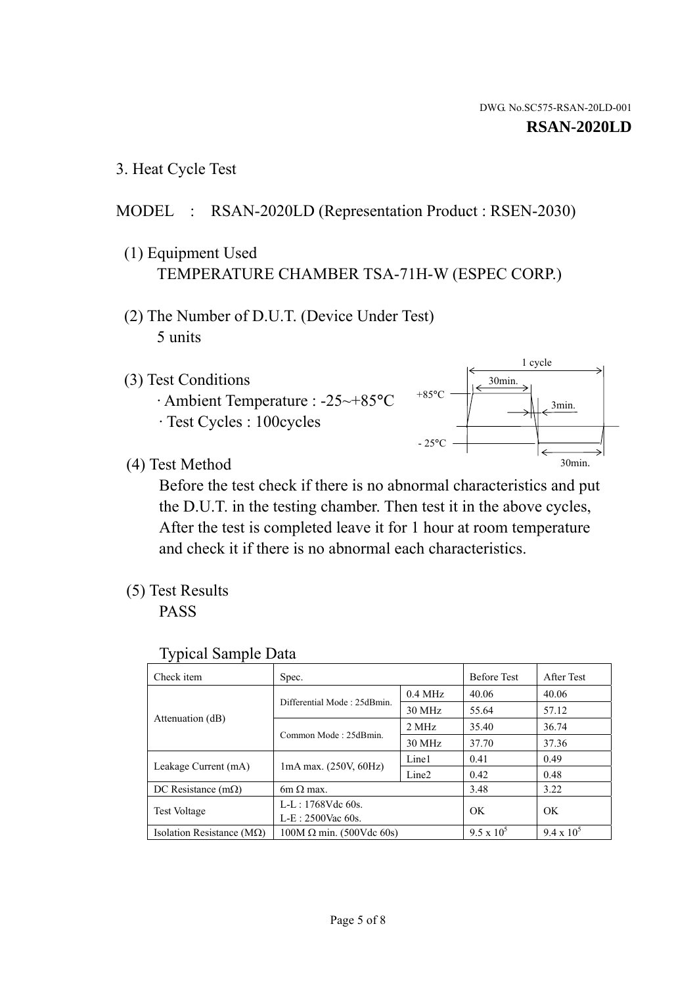1 cycle

30min.

3min.

30min.

3. Heat Cycle Test

## MODEL : RSAN-2020LD (Representation Product : RSEN-2030)

- (1) Equipment Used TEMPERATURE CHAMBER TSA-71H-W (ESPEC CORP.)
- (2) The Number of D.U.T. (Device Under Test) 5 units
- (3) Test Conditions
	- · Ambient Temperature : -25~+85°C · Test Cycles : 100cycles
- (4) Test Method

 Before the test check if there is no abnormal characteristics and put the D.U.T. in the testing chamber. Then test it in the above cycles, After the test is completed leave it for 1 hour at room temperature and check it if there is no abnormal each characteristics.

 $+85$ °C

 $-25$ °C

(5) Test Results

PASS

| <b>Typical Sample Data</b> |  |  |
|----------------------------|--|--|
|----------------------------|--|--|

| Check item                         | Spec.                           |                   | <b>Before Test</b> | After Test        |
|------------------------------------|---------------------------------|-------------------|--------------------|-------------------|
|                                    | Differential Mode: 25dBmin.     | $0.4$ MHz         | 40.06              | 40.06             |
|                                    |                                 | 30 MHz            | 55.64              | 57.12             |
| Attenuation (dB)                   | Common Mode: 25dBmin.           | 2 MHz             | 35.40              | 36.74             |
|                                    |                                 | 30 MHz            | 37.70              | 37.36             |
| Leakage Current (mA)               | $1mA$ max. $(250V, 60Hz)$       | Line1             | 0.41               | 0.49              |
|                                    |                                 | Line <sub>2</sub> | 0.42               | 0.48              |
| DC Resistance $(m\Omega)$          | 6m $\Omega$ max.                |                   | 3.48               | 3.22              |
| <b>Test Voltage</b>                | $L-L: 1768Vdc$ 60s.             |                   | OK                 | OK                |
|                                    | $L-E: 2500$ Vac 60s.            |                   |                    |                   |
| Isolation Resistance ( $M\Omega$ ) | $100M \Omega$ min. (500Vdc 60s) |                   | $9.5 \times 10^5$  | $9.4 \times 10^5$ |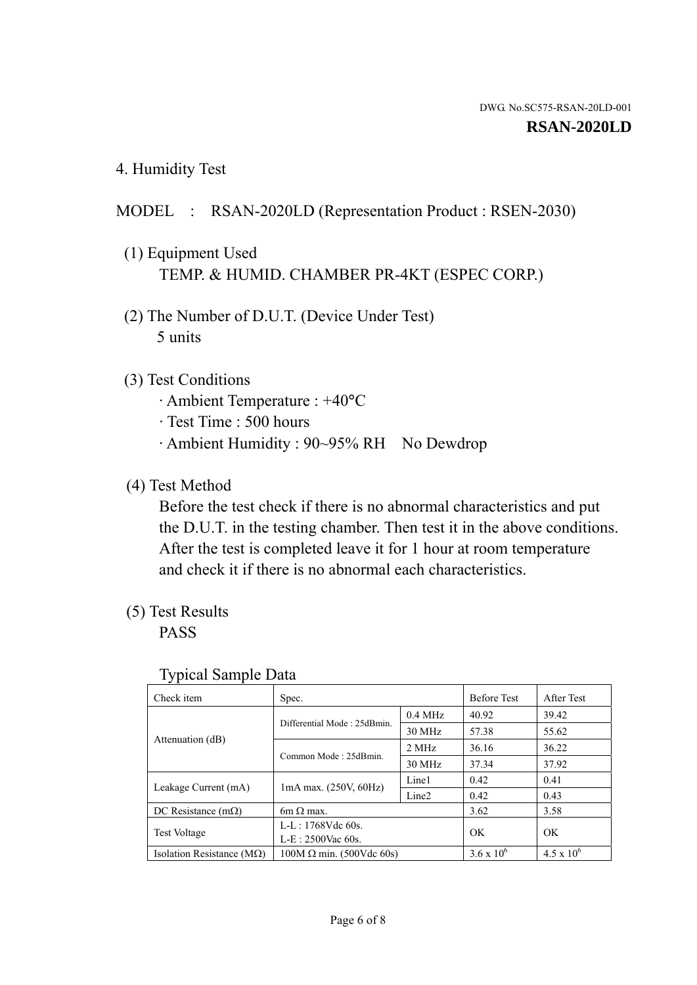4. Humidity Test

## MODEL : RSAN-2020LD (Representation Product : RSEN-2030)

- (1) Equipment Used TEMP. & HUMID. CHAMBER PR-4KT (ESPEC CORP.)
- (2) The Number of D.U.T. (Device Under Test) 5 units

## (3) Test Conditions

- · Ambient Temperature : +40°C
- · Test Time : 500 hours
- · Ambient Humidity : 90~95% RH No Dewdrop

## (4) Test Method

 Before the test check if there is no abnormal characteristics and put the D.U.T. in the testing chamber. Then test it in the above conditions. After the test is completed leave it for 1 hour at room temperature and check it if there is no abnormal each characteristics.

## (5) Test Results

PASS

| . .                                |                                 |                   |                     |                     |
|------------------------------------|---------------------------------|-------------------|---------------------|---------------------|
| Check item                         | Spec.                           |                   | <b>Before Test</b>  | After Test          |
| Attenuation (dB)                   | Differential Mode: 25dBmin.     | $0.4$ MHz         | 40.92               | 39.42               |
|                                    |                                 | 30 MHz            | 57.38               | 55.62               |
|                                    | Common Mode: 25dBmin.           | 2 MHz             | 36.16               | 36.22               |
|                                    |                                 | 30 MHz            | 37.34               | 37.92               |
| Leakage Current (mA)               | $1mA$ max. $(250V, 60Hz)$       | Line1             | 0.42                | 0.41                |
|                                    |                                 | Line <sub>2</sub> | 0.42                | 0.43                |
| DC Resistance (m $\Omega$ )        | $6m \Omega$ max.                |                   | 3.62                | 3.58                |
| <b>Test Voltage</b>                | $L-L: 1768Vdc$ 60s.             |                   | OK                  | OK.                 |
|                                    | $L-E$ : 2500Vac 60s.            |                   |                     |                     |
| Isolation Resistance ( $M\Omega$ ) | $100M \Omega$ min. (500Vdc 60s) |                   | $3.6 \times 10^{6}$ | $4.5 \times 10^{6}$ |

#### Typical Sample Data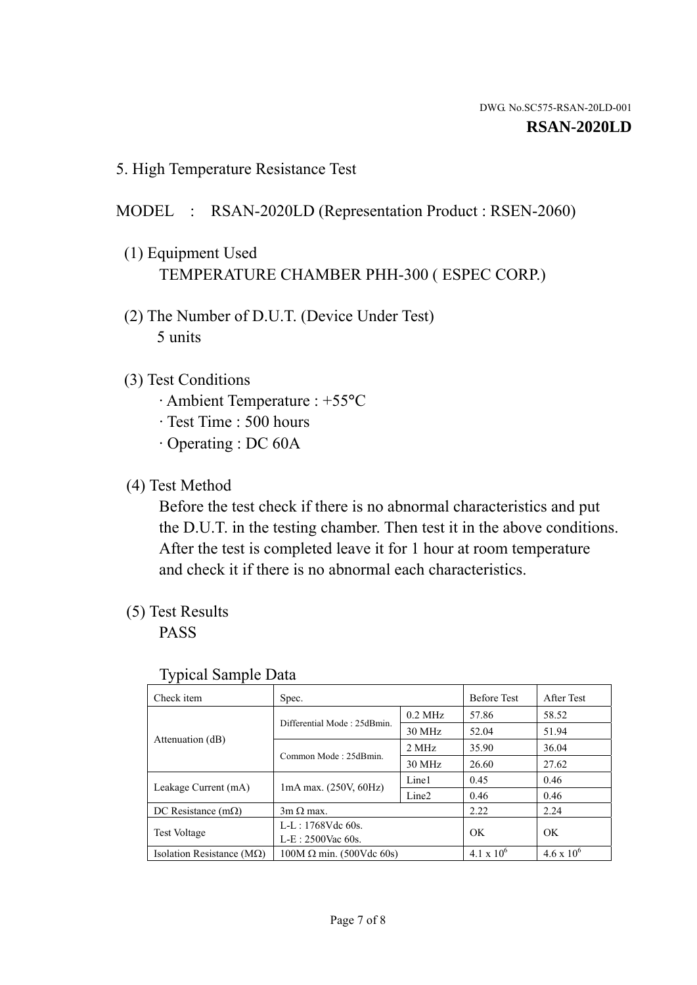5. High Temperature Resistance Test

## MODEL : RSAN-2020LD (Representation Product : RSEN-2060)

- (1) Equipment Used TEMPERATURE CHAMBER PHH-300 ( ESPEC CORP.)
- (2) The Number of D.U.T. (Device Under Test) 5 units
- (3) Test Conditions
	- · Ambient Temperature : +55°C
	- · Test Time : 500 hours
	- · Operating : DC 60A
- (4) Test Method

 Before the test check if there is no abnormal characteristics and put the D.U.T. in the testing chamber. Then test it in the above conditions. After the test is completed leave it for 1 hour at room temperature and check it if there is no abnormal each characteristics.

(5) Test Results

PASS

| J 1                                |                                 |                   |                     |                     |
|------------------------------------|---------------------------------|-------------------|---------------------|---------------------|
| Check item                         | Spec.                           |                   | <b>Before Test</b>  | After Test          |
|                                    | Differential Mode: 25dBmin.     | $0.2$ MHz         | 57.86               | 58.52               |
|                                    |                                 | 30 MHz            | 52.04               | 51.94               |
| Attenuation (dB)                   | Common Mode: 25dBmin.           | 2 MHz             | 35.90               | 36.04               |
|                                    |                                 | 30 MHz            | 26.60               | 27.62               |
| Leakage Current (mA)               | $1mA$ max. $(250V, 60Hz)$       | Line1             | 0.45                | 0.46                |
|                                    |                                 | Line <sub>2</sub> | 0.46                | 0.46                |
| DC Resistance $(m\Omega)$          | $3m \Omega$ max.                |                   | 2.22                | 2.24                |
| <b>Test Voltage</b>                | $L-L: 1768Vdc$ 60s.             |                   | OK                  | OK                  |
|                                    | $L-E: 2500$ Vac 60s.            |                   |                     |                     |
| Isolation Resistance ( $M\Omega$ ) | $100M \Omega$ min. (500Vdc 60s) |                   | $4.1 \times 10^{6}$ | $4.6 \times 10^{6}$ |

#### Typical Sample Data